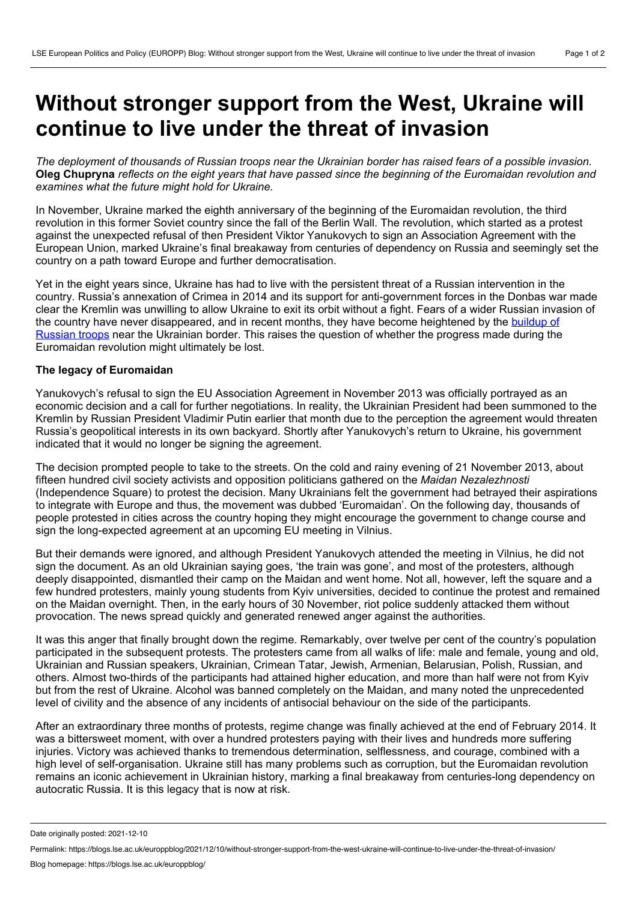## **Without stronger support from the West, Ukraine will continue to live under the threat of invasion**

The deployment of thousands of Russian troops near the Ukrainian border has raised fears of a possible invasion. Oleg Chupryna reflects on the eight years that have passed since the beginning of the Euromaidan revolution and *examines what the future might hold for Ukraine.*

In November, Ukraine marked the eighth anniversary of the beginning of the Euromaidan revolution, the third revolution in this former Soviet country since the fall of the Berlin Wall. The revolution, which started as a protest against the unexpected refusal of then President Viktor Yanukovych to sign an Association Agreement with the European Union, marked Ukraine's final breakaway from centuries of dependency on Russia and seemingly set the country on a path toward Europe and further democratisation.

Yet in the eight years since, Ukraine has had to live with the persistent threat of a Russian intervention in the country. Russia's annexation of Crimea in 2014 and its support for anti-government forces in the Donbas war made clear the Kremlin was unwilling to allow Ukraine to exit its orbit without a fight. Fears of a wider Russian invasion of the country have never [disappeared,](https://www.bbc.com/news/world-europe-59288181) and in recent months, they have become heightened by the buildup of Russian troops near the Ukrainian border. This raises the question of whether the progress made during the Euromaidan revolution might ultimately be lost.

## **The legacy of Euromaidan**

Yanukovych's refusal to sign the EU Association Agreement in November 2013 was officially portrayed as an economic decision and a call for further negotiations. In reality, the Ukrainian President had been summoned to the Kremlin by Russian President Vladimir Putin earlier that month due to the perception the agreement would threaten Russia's geopolitical interests in its own backyard. Shortly after Yanukovych's return to Ukraine, his government indicated that it would no longer be signing the agreement.

The decision prompted people to take to the streets. On the cold and rainy evening of 21 November 2013, about fifteen hundred civil society activists and opposition politicians gathered on the *Maidan Nezalezhnosti* (Independence Square) to protest the decision. Many Ukrainians felt the government had betrayed their aspirations to integrate with Europe and thus, the movement was dubbed 'Euromaidan'. On the following day, thousands of people protested in cities across the country hoping they might encourage the government to change course and sign the long-expected agreement at an upcoming EU meeting in Vilnius.

But their demands were ignored, and although President Yanukovych attended the meeting in Vilnius, he did not sign the document. As an old Ukrainian saying goes, 'the train was gone', and most of the protesters, although deeply disappointed, dismantled their camp on the Maidan and went home. Not all, however, left the square and a few hundred protesters, mainly young students from Kyiv universities, decided to continue the protest and remained on the Maidan overnight. Then, in the early hours of 30 November, riot police suddenly attacked them without provocation. The news spread quickly and generated renewed anger against the authorities.

It was this anger that finally brought down the regime. Remarkably, over twelve per cent of the country's population participated in the subsequent protests. The protesters came from all walks of life: male and female, young and old, Ukrainian and Russian speakers, Ukrainian, Crimean Tatar, Jewish, Armenian, Belarusian, Polish, Russian, and others. Almost two-thirds of the participants had attained higher education, and more than half were not from Kyiv but from the rest of Ukraine. Alcohol was banned completely on the Maidan, and many noted the unprecedented level of civility and the absence of any incidents of antisocial behaviour on the side of the participants.

After an extraordinary three months of protests, regime change was finally achieved at the end of February 2014. It was a bittersweet moment, with over a hundred protesters paying with their lives and hundreds more suffering injuries. Victory was achieved thanks to tremendous determination, selflessness, and courage, combined with a high level of self-organisation. Ukraine still has many problems such as corruption, but the Euromaidan revolution remains an iconic achievement in Ukrainian history, marking a final breakaway from centuries-long dependency on autocratic Russia. It is this legacy that is now at risk.

Date originally posted: 2021-12-10

Permalink: https://blogs.lse.ac.uk/europpblog/2021/12/10/without-stronger-support-from-the-west-ukraine-will-continue-to-live-under-the-threat-of-invasion/